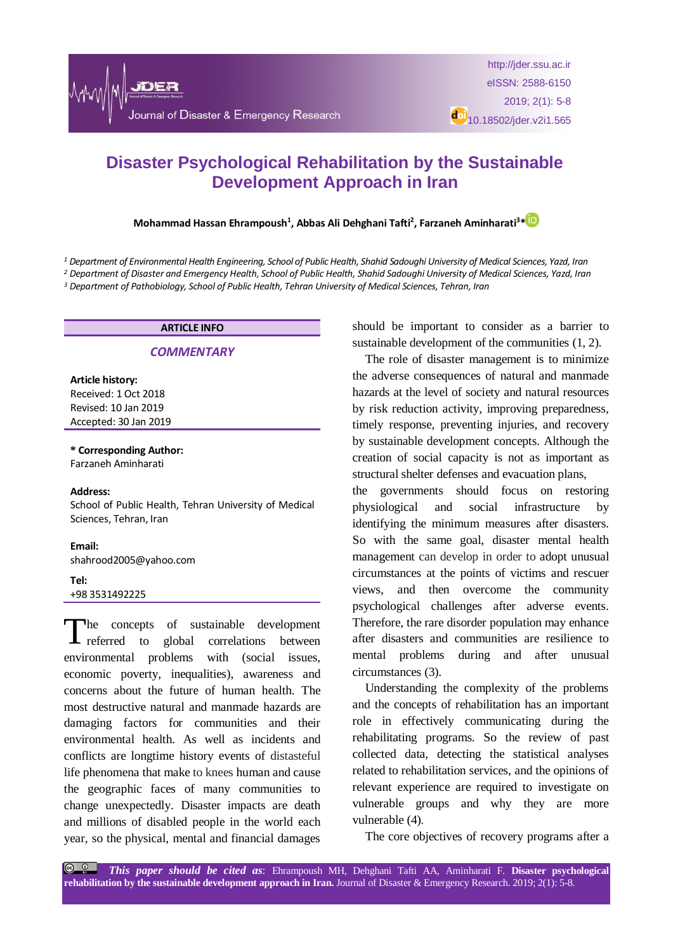# **Disaster Psychological Rehabilitation by the Sustainable Development Approach in Iran**

## **Mohammad Hassan Ehrampoush<sup>1</sup> , Abbas Ali Dehghani Tafti<sup>2</sup> , Farzaneh Aminharati<sup>3</sup>[\\*](https://orcid.org/0000-0002-6020-123X)**

<sup>1</sup> Department of Environmental Health Engineering, School of Public Health, Shahid Sadoughi University of Medical Sciences, Yazd, Iran

<sup>2</sup> Department of Disaster and Emergency Health, School of Public Health, Shahid Sadoughi University of Medical Sciences, Yazd, Iran *<sup>3</sup> Department of Pathobiology, School of Public Health, Tehran University of Medical Sciences, Tehran, Iran*

# **ARTICLE INFO**

#### *COMMENTARY*

**Article history:** Received: 1 Oct 2018 Revised: 10 Jan 2019 Accepted: 30 Jan 2019

**\* Corresponding Author:** Farzaneh Aminharati

#### **Address:**

School of Public Health, Tehran University of Medical Sciences, Tehran, Iran

#### **Email:**

shahrood2005@yahoo.com

#### **Tel:**

#### +98 3531492225

he concepts of sustainable development The concepts of sustainable development<br>referred to global correlations between environmental problems with (social issues, economic poverty, inequalities), awareness and concerns about the future of human health. The most destructive natural and manmade hazards are damaging factors for communities and their environmental health. As well as incidents and conflicts are longtime history events of distasteful life phenomena that make to knees human and cause the geographic faces of many communities to change unexpectedly. Disaster impacts are death and millions of disabled people in the world each year, so the physical, mental and financial damages should be important to consider as a barrier to sustainable development of the communities (1, 2).

The role of disaster management is to minimize the adverse consequences of natural and manmade hazards at the level of society and natural resources by risk reduction activity, improving preparedness, timely response, preventing injuries, and recovery by sustainable development concepts. Although the creation of social capacity is not as important as structural shelter defenses and evacuation plans, the governments should focus on restoring physiological and social infrastructure by identifying the minimum measures after disasters. So with the same goal, disaster mental health management can develop in order to adopt unusual circumstances at the points of victims and rescuer views, and then overcome the community psychological challenges after adverse events. Therefore, the rare disorder population may enhance

after disasters and communities are resilience to mental problems during and after unusual circumstances (3).

Understanding the complexity of the problems and the concepts of rehabilitation has an important role in effectively communicating during the rehabilitating programs. So the review of past collected data, detecting the statistical analyses related to rehabilitation services, and the opinions of relevant experience are required to investigate on vulnerable groups and why they are more vulnerable (4).

The core objectives of recovery programs after a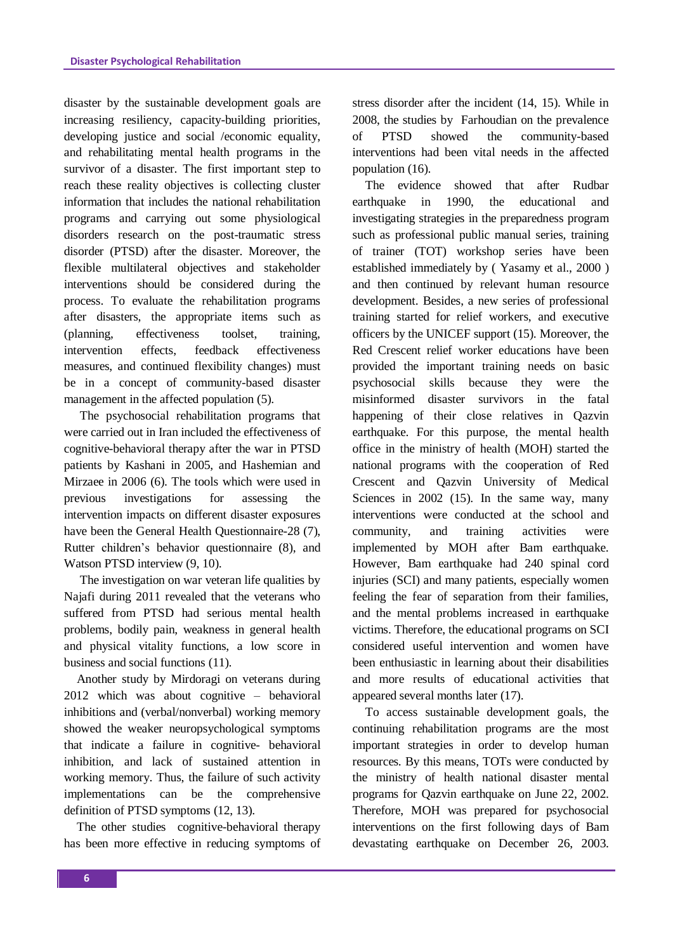disaster by the sustainable development goals are increasing resiliency, capacity-building priorities, developing justice and social /economic equality, and rehabilitating mental health programs in the survivor of a disaster. The first important step to reach these reality objectives is collecting cluster information that includes the national rehabilitation programs and carrying out some physiological disorders research on the post-traumatic stress disorder (PTSD) after the disaster. Moreover, the flexible multilateral objectives and stakeholder interventions should be considered during the process. To evaluate the rehabilitation programs after disasters, the appropriate items such as (planning, effectiveness toolset, training, intervention effects, feedback effectiveness measures, and continued flexibility changes) must be in a concept of community-based disaster management in the affected population (5).

The psychosocial rehabilitation programs that were carried out in Iran included the effectiveness of cognitive-behavioral therapy after the war in PTSD patients by Kashani in 2005, and Hashemian and Mirzaee in 2006 (6). The tools which were used in previous investigations for assessing the intervention impacts on different disaster exposures have been the General Health Questionnaire-28 (7), Rutter children's behavior questionnaire (8), and Watson PTSD interview (9, 10).

The investigation on war veteran life qualities by Najafi during 2011 revealed that the veterans who suffered from PTSD had serious mental health problems, bodily pain, weakness in general health and physical vitality functions, a low score in business and social functions (11).

Another study by Mirdoragi on veterans during 2012 which was about cognitive – behavioral inhibitions and (verbal/nonverbal) working memory showed the weaker neuropsychological symptoms that indicate a failure in cognitive- behavioral inhibition, and lack of sustained attention in working memory. Thus, the failure of such activity implementations can be the comprehensive definition of PTSD symptoms (12, 13).

The other studies cognitive-behavioral therapy has been more effective in reducing symptoms of stress disorder after the incident (14, 15). While in 2008, the studies by Farhoudian on the prevalence of PTSD showed the community-based interventions had been vital needs in the affected population (16).

The evidence showed that after Rudbar earthquake in 1990, the educational and investigating strategies in the preparedness program such as professional public manual series, training of trainer (TOT) workshop series have been established immediately by ( Yasamy et al., 2000 ) and then continued by relevant human resource development. Besides, a new series of professional training started for relief workers, and executive officers by the UNICEF support (15). Moreover, the Red Crescent relief worker educations have been provided the important training needs on basic psychosocial skills because they were the misinformed disaster survivors in the fatal happening of their close relatives in Qazvin earthquake. For this purpose, the mental health office in the ministry of health (MOH) started the national programs with the cooperation of Red Crescent and Qazvin University of Medical Sciences in 2002 (15). In the same way, many interventions were conducted at the school and community, and training activities were implemented by MOH after Bam earthquake. However, Bam earthquake had 240 spinal cord injuries (SCI) and many patients, especially women feeling the fear of separation from their families, and the mental problems increased in earthquake victims. Therefore, the educational programs on SCI considered useful intervention and women have been enthusiastic in learning about their disabilities and more results of educational activities that appeared several months later (17).

To access sustainable development goals, the continuing rehabilitation programs are the most important strategies in order to develop human resources. By this means, TOTs were conducted by the ministry of health national disaster mental programs for Qazvin earthquake on June 22, 2002. Therefore, MOH was prepared for psychosocial interventions on the first following days of Bam devastating earthquake on December 26, 2003.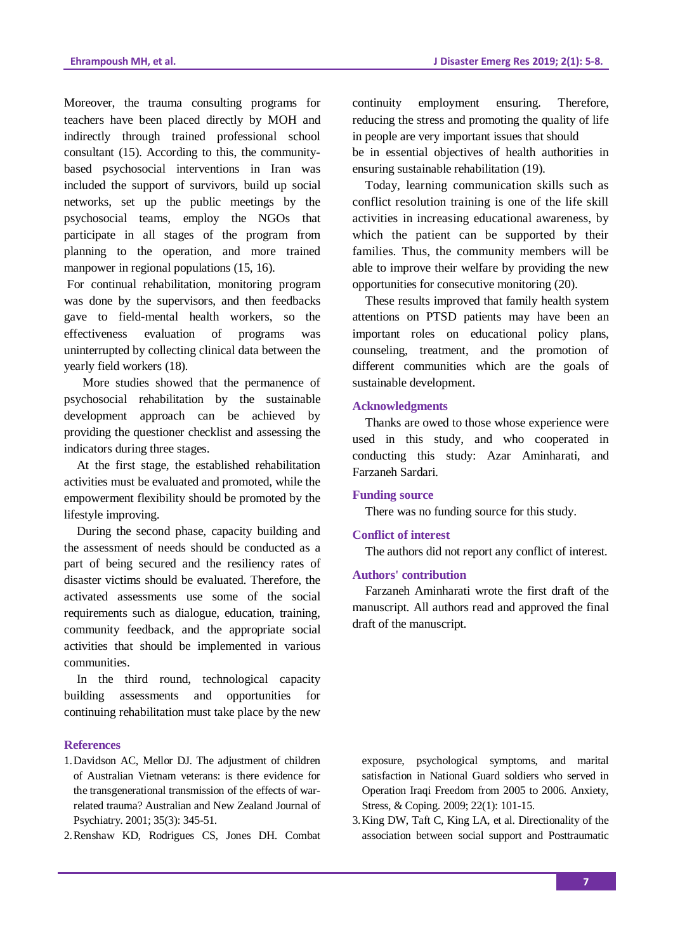Moreover, the trauma consulting programs for teachers have been placed directly by MOH and indirectly through trained professional school consultant (15). According to this, the communitybased psychosocial interventions in Iran was included the support of survivors, build up social networks, set up the public meetings by the psychosocial teams, employ the NGOs that participate in all stages of the program from planning to the operation, and more trained manpower in regional populations (15, 16).

For continual rehabilitation, monitoring program was done by the supervisors, and then feedbacks gave to field-mental health workers, so the effectiveness evaluation of programs was uninterrupted by collecting clinical data between the yearly field workers (18).

 More studies showed that the permanence of psychosocial rehabilitation by the sustainable development approach can be achieved by providing the questioner checklist and assessing the indicators during three stages.

At the first stage, the established rehabilitation activities must be evaluated and promoted, while the empowerment flexibility should be promoted by the lifestyle improving.

During the second phase, capacity building and the assessment of needs should be conducted as a part of being secured and the resiliency rates of disaster victims should be evaluated. Therefore, the activated assessments use some of the social requirements such as dialogue, education, training, community feedback, and the appropriate social activities that should be implemented in various communities.

In the third round, technological capacity building assessments and opportunities for continuing rehabilitation must take place by the new

## **References**

- 1.Davidson AC, Mellor DJ. The adjustment of children of Australian Vietnam veterans: is there evidence for the transgenerational transmission of the effects of warrelated trauma? Australian and New Zealand Journal of Psychiatry. 2001; 35(3): 345-51.
- 2.Renshaw KD, Rodrigues CS, Jones DH. Combat

continuity employment ensuring. Therefore, reducing the stress and promoting the quality of life in people are very important issues that should be in essential objectives of health authorities in ensuring sustainable rehabilitation (19).

Today, learning communication skills such as conflict resolution training is one of the life skill activities in increasing educational awareness, by which the patient can be supported by their families. Thus, the community members will be able to improve their welfare by providing the new opportunities for consecutive monitoring (20).

These results improved that family health system attentions on PTSD patients may have been an important roles on educational policy plans, counseling, treatment, and the promotion of different communities which are the goals of sustainable development.

## **Acknowledgments**

Thanks are owed to those whose experience were used in this study, and who cooperated in conducting this study: Azar Aminharati, and Farzaneh Sardari.

## **Funding source**

There was no funding source for this study.

### **Conflict of interest**

The authors did not report any conflict of interest.

# **Authors' contribution**

Farzaneh Aminharati wrote the first draft of the manuscript. All authors read and approved the final draft of the manuscript.

exposure, psychological symptoms, and marital satisfaction in National Guard soldiers who served in Operation Iraqi Freedom from 2005 to 2006. Anxiety, Stress, & Coping. 2009; 22(1): 101-15.

3.King DW, Taft C, King LA, et al. Directionality of the association between social support and Posttraumatic